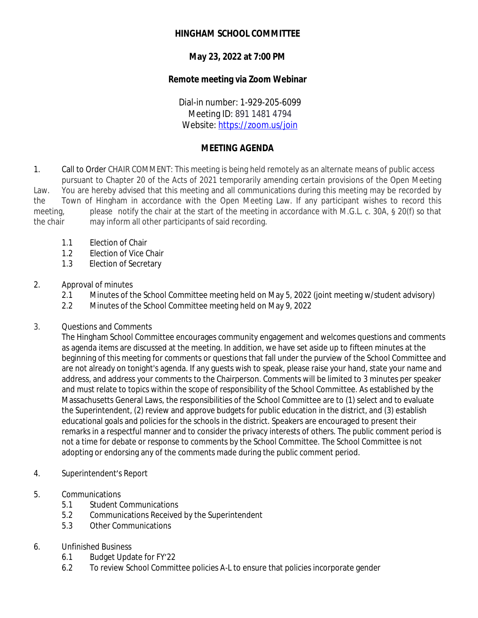# **HINGHAM SCHOOL COMMITTEE**

# **May 23, 2022 at 7:00 PM**

### **Remote meeting via Zoom Webinar**

Dial-in number: 1-929-205-6099 Meeting ID: 891 1481 4794 Website: <https://zoom.us/join>

# **MEETING AGENDA**

1. Call to Order CHAIR COMMENT: This meeting is being held remotely as an alternate means of public access pursuant to Chapter 20 of the Acts of 2021 temporarily amending certain provisions of the Open Meeting Law. You are hereby advised that this meeting and all communications during this meeting may be recorded by the Town of Hingham in accordance with the Open Meeting Law. If any participant wishes to record this meeting, please notify the chair at the start of the meeting in accordance with M.G.L. c. 30A, § 20(f) so that the chair may inform all other participants of said recording.

- 1.1 Election of Chair
- 1.2 Election of Vice Chair
- 1.3 Election of Secretary

#### 2. Approval of minutes

- 2.1 Minutes of the School Committee meeting held on May 5, 2022 (joint meeting w/student advisory)
- 2.2 Minutes of the School Committee meeting held on May 9, 2022
- 3. Questions and Comments

The Hingham School Committee encourages community engagement and welcomes questions and comments as agenda items are discussed at the meeting. In addition, we have set aside up to fifteen minutes at the beginning of this meeting for comments or questions that fall under the purview of the School Committee and are not already on tonight's agenda. If any guests wish to speak, please raise your hand, state your name and address, and address your comments to the Chairperson. Comments will be limited to 3 minutes per speaker and must relate to topics within the scope of responsibility of the School Committee. As established by the Massachusetts General Laws, the responsibilities of the School Committee are to (1) select and to evaluate the Superintendent, (2) review and approve budgets for public education in the district, and (3) establish educational goals and policies for the schools in the district. Speakers are encouraged to present their remarks in a respectful manner and to consider the privacy interests of others. The public comment period is not a time for debate or response to comments by the School Committee. The School Committee is not adopting or endorsing any of the comments made during the public comment period.

- 4. Superintendent's Report
- 5. Communications
	- 5.1 Student Communications
	- 5.2 Communications Received by the Superintendent
	- 5.3 Other Communications

#### 6. Unfinished Business

- 6.1 Budget Update for FY'22
- 6.2 To review School Committee policies A-L to ensure that policies incorporate gender